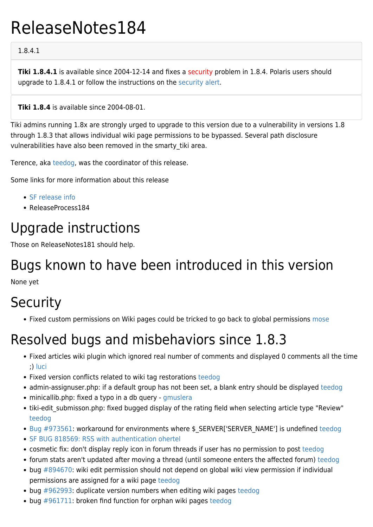# ReleaseNotes184

#### 1.8.4.1

**Tiki 1.8.4.1** is available since 2004-12-14 and fixes a security problem in 1.8.4. Polaris users should upgrade to 1.8.4.1 or follow the instructions on the [security alert.](http://tikiwiki.org/tiki-read_article.php?articleId=99)

**Tiki 1.8.4** is available since 2004-08-01.

Tiki admins running 1.8x are strongly urged to upgrade to this version due to a vulnerability in versions 1.8 through 1.8.3 that allows individual wiki page permissions to be bypassed. Several path disclosure vulnerabilities have also been removed in the smarty tiki area.

Terence, aka [teedog](https://tiki.org/UserPageTerence), was the coordinator of this release.

Some links for more information about this release

- [SF release info](http://sourceforge.net/project/showfiles.php?group_id=64258&package_id=112133&release_id=257332)
- ReleaseProcess184

### Upgrade instructions

Those on ReleaseNotes181 should help.

#### Bugs known to have been introduced in this version

None yet

## **Security**

• Fixed custom permissions on Wiki pages could be tricked to go back to global permissions [mose](https://tiki.org/UserPagemose)

#### Resolved bugs and misbehaviors since 1.8.3

- Fixed articles wiki plugin which ignored real number of comments and displayed 0 comments all the time ;) [luci](https://tiki.org/UserPageluci)
- Fixed version conflicts related to wiki tag restorations [teedog](https://tiki.org/UserPageTerence)
- admin-assignuser.php: if a default group has not been set, a blank entry should be displayed [teedog](https://tiki.org/UserPageTerence)
- minicallib.php: fixed a typo in a db query [gmuslera](https://tiki.org/UserPagegmuslera)
- tiki-edit submisson.php: fixed bugged display of the rating field when selecting article type "Review" [teedog](https://tiki.org/UserPageTerence)
- [Bug #973561:](http://sourceforge.net/tracker/index.php?func=detail&aid=973561&group_id=64258&atid=506846) workaround for environments where \$ SERVER['SERVER\_NAME'] is undefined [teedog](https://tiki.org/UserPageTerence)
- [SF BUG 818569: RSS with authentication](http://sourceforge.net/tracker/index.php?func=detail&aid=818569&group_id=64258&atid=506846) [ohertel](https://tiki.org/UserPageohertel)
- cosmetic fix: don't display reply icon in forum threads if user has no permission to post [teedog](https://tiki.org/UserPageTerence)
- forum stats aren't updated after moving a thread (until someone enters the affected forum) [teedog](https://tiki.org/UserPageTerence)
- bug [#894670](http://sourceforge.net/tracker/?group_id=64258&atid=506846&func=detail&aid=894670): wiki edit permission should not depend on global wiki view permission if individual permissions are assigned for a wiki page [teedog](https://tiki.org/UserPageTerence)
- bug [#962993](http://sourceforge.net/tracker/?group_id=64258&atid=506846&func=detail&aid=962993): duplicate version numbers when editing wiki pages [teedog](https://tiki.org/UserPageTerence)
- bug [#961711](http://sourceforge.net/tracker/index.php?func=detail&aid=961711&group_id=64258&atid=506846): broken find function for orphan wiki pages [teedog](https://tiki.org/UserPageTerence)